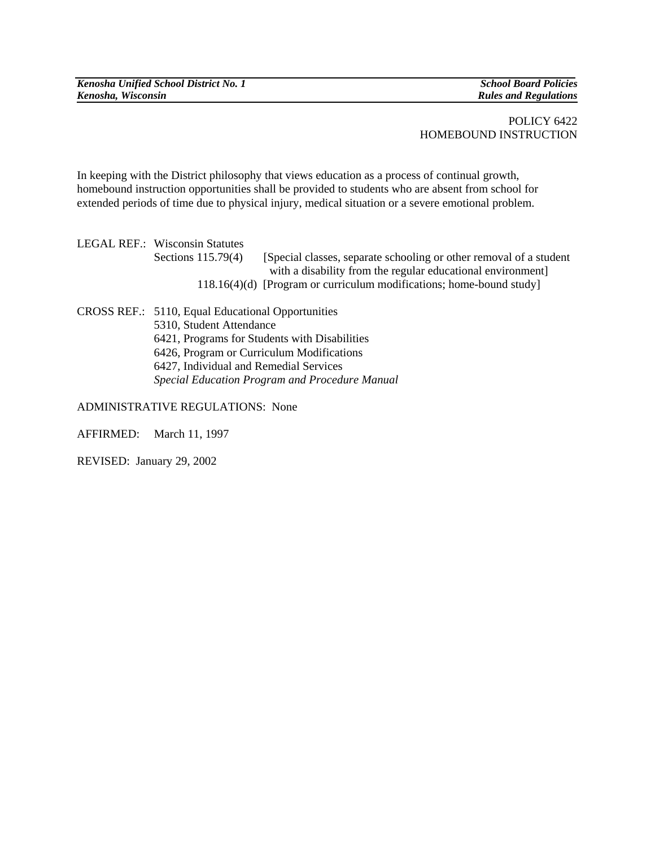*Kenosha Unified School District No. 1* School Board Policies **School Board Policies School Board Policies School Board Policies** *Kenosha, Wisconsin Rules and Regulations* 

## POLICY 6422 HOMEBOUND INSTRUCTION

In keeping with the District philosophy that views education as a process of continual growth, homebound instruction opportunities shall be provided to students who are absent from school for extended periods of time due to physical injury, medical situation or a severe emotional problem.

LEGAL REF.: Wisconsin Statutes Sections 115.79(4) [Special classes, separate schooling or other removal of a student with a disability from the regular educational environment] 118.16(4)(d) [Program or curriculum modifications; home-bound study]

CROSS REF.: 5110, Equal Educational Opportunities 5310, Student Attendance 6421, Programs for Students with Disabilities 6426, Program or Curriculum Modifications 6427, Individual and Remedial Services *Special Education Program and Procedure Manual*

ADMINISTRATIVE REGULATIONS: None

AFFIRMED: March 11, 1997

REVISED: January 29, 2002